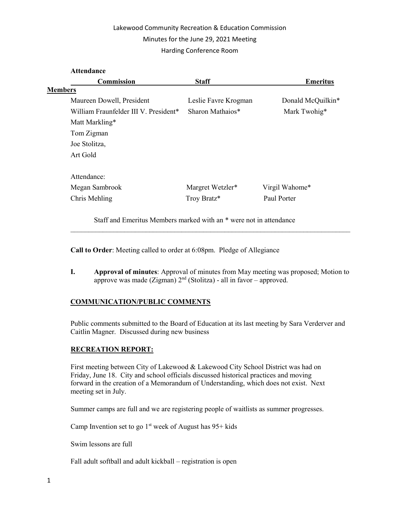# Lakewood Community Recreation & Education Commission Minutes for the June 29, 2021 Meeting Harding Conference Room

| Commission                            | <b>Staff</b>         | <b>Emeritus</b>   |
|---------------------------------------|----------------------|-------------------|
| <b>Members</b>                        |                      |                   |
| Maureen Dowell, President             | Leslie Favre Krogman | Donald McQuilkin* |
| William Fraunfelder III V. President* | Sharon Mathaios*     | Mark Twohig*      |
| Matt Markling*                        |                      |                   |
| Tom Zigman                            |                      |                   |
| Joe Stolitza,                         |                      |                   |
| Art Gold                              |                      |                   |
| Attendance:                           |                      |                   |
| Megan Sambrook                        | Margret Wetzler*     | Virgil Wahome*    |
| Chris Mehling                         | Troy Bratz*          | Paul Porter       |

Call to Order: Meeting called to order at 6:08pm. Pledge of Allegiance

I. Approval of minutes: Approval of minutes from May meeting was proposed; Motion to approve was made (Zigman)  $2<sup>nd</sup>$  (Stolitza) - all in favor – approved.

 $\mathcal{L}_\text{max}$  and  $\mathcal{L}_\text{max}$  and  $\mathcal{L}_\text{max}$  and  $\mathcal{L}_\text{max}$  and  $\mathcal{L}_\text{max}$  and  $\mathcal{L}_\text{max}$ 

# COMMUNICATION/PUBLIC COMMENTS

Public comments submitted to the Board of Education at its last meeting by Sara Verderver and Caitlin Magner. Discussed during new business

# RECREATION REPORT:

First meeting between City of Lakewood & Lakewood City School District was had on Friday, June 18. City and school officials discussed historical practices and moving forward in the creation of a Memorandum of Understanding, which does not exist. Next meeting set in July.

Summer camps are full and we are registering people of waitlists as summer progresses.

Camp Invention set to go  $1<sup>st</sup>$  week of August has 95+ kids

Swim lessons are full

Fall adult softball and adult kickball – registration is open